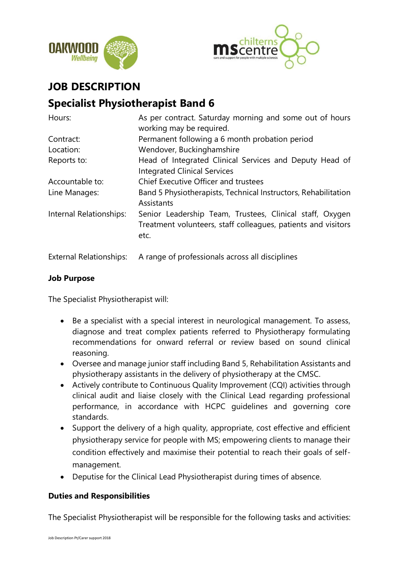



## **JOB DESCRIPTION**

# **Specialist Physiotherapist Band 6**

| Hours:                  | As per contract. Saturday morning and some out of hours<br>working may be required.                                               |
|-------------------------|-----------------------------------------------------------------------------------------------------------------------------------|
| Contract:               | Permanent following a 6 month probation period                                                                                    |
| Location:               | Wendover, Buckinghamshire                                                                                                         |
| Reports to:             | Head of Integrated Clinical Services and Deputy Head of<br><b>Integrated Clinical Services</b>                                    |
| Accountable to:         | Chief Executive Officer and trustees                                                                                              |
| Line Manages:           | Band 5 Physiotherapists, Technical Instructors, Rehabilitation<br>Assistants                                                      |
| Internal Relationships: | Senior Leadership Team, Trustees, Clinical staff, Oxygen<br>Treatment volunteers, staff colleagues, patients and visitors<br>etc. |

External Relationships: A range of professionals across all disciplines

### **Job Purpose**

The Specialist Physiotherapist will:

- Be a specialist with a special interest in neurological management. To assess, diagnose and treat complex patients referred to Physiotherapy formulating recommendations for onward referral or review based on sound clinical reasoning.
- Oversee and manage junior staff including Band 5, Rehabilitation Assistants and physiotherapy assistants in the delivery of physiotherapy at the CMSC.
- Actively contribute to Continuous Quality Improvement (CQI) activities through clinical audit and liaise closely with the Clinical Lead regarding professional performance, in accordance with HCPC guidelines and governing core standards.
- Support the delivery of a high quality, appropriate, cost effective and efficient physiotherapy service for people with MS; empowering clients to manage their condition effectively and maximise their potential to reach their goals of selfmanagement.
- Deputise for the Clinical Lead Physiotherapist during times of absence.

#### **Duties and Responsibilities**

The Specialist Physiotherapist will be responsible for the following tasks and activities: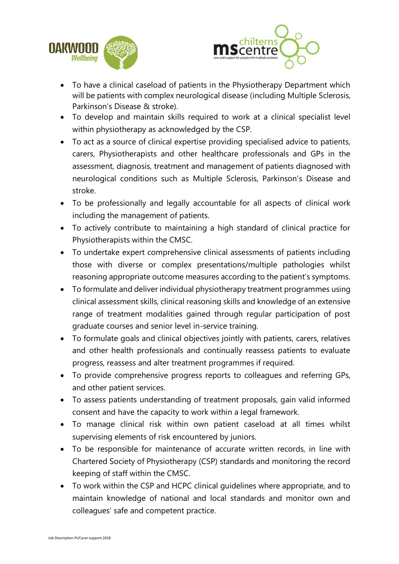



- To have a clinical caseload of patients in the Physiotherapy Department which will be patients with complex neurological disease (including Multiple Sclerosis, Parkinson's Disease & stroke).
- To develop and maintain skills required to work at a clinical specialist level within physiotherapy as acknowledged by the CSP.
- To act as a source of clinical expertise providing specialised advice to patients, carers, Physiotherapists and other healthcare professionals and GPs in the assessment, diagnosis, treatment and management of patients diagnosed with neurological conditions such as Multiple Sclerosis, Parkinson's Disease and stroke.
- To be professionally and legally accountable for all aspects of clinical work including the management of patients.
- To actively contribute to maintaining a high standard of clinical practice for Physiotherapists within the CMSC.
- To undertake expert comprehensive clinical assessments of patients including those with diverse or complex presentations/multiple pathologies whilst reasoning appropriate outcome measures according to the patient's symptoms.
- To formulate and deliver individual physiotherapy treatment programmes using clinical assessment skills, clinical reasoning skills and knowledge of an extensive range of treatment modalities gained through regular participation of post graduate courses and senior level in-service training.
- To formulate goals and clinical objectives jointly with patients, carers, relatives and other health professionals and continually reassess patients to evaluate progress, reassess and alter treatment programmes if required.
- To provide comprehensive progress reports to colleagues and referring GPs, and other patient services.
- To assess patients understanding of treatment proposals, gain valid informed consent and have the capacity to work within a legal framework.
- To manage clinical risk within own patient caseload at all times whilst supervising elements of risk encountered by juniors.
- To be responsible for maintenance of accurate written records, in line with Chartered Society of Physiotherapy (CSP) standards and monitoring the record keeping of staff within the CMSC.
- To work within the CSP and HCPC clinical guidelines where appropriate, and to maintain knowledge of national and local standards and monitor own and colleagues' safe and competent practice.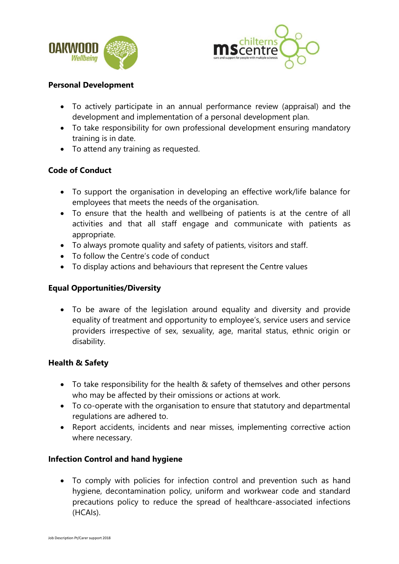



#### **Personal Development**

- To actively participate in an annual performance review (appraisal) and the development and implementation of a personal development plan.
- To take responsibility for own professional development ensuring mandatory training is in date.
- To attend any training as requested.

### **Code of Conduct**

- To support the organisation in developing an effective work/life balance for employees that meets the needs of the organisation.
- To ensure that the health and wellbeing of patients is at the centre of all activities and that all staff engage and communicate with patients as appropriate.
- To always promote quality and safety of patients, visitors and staff.
- To follow the Centre's code of conduct
- To display actions and behaviours that represent the Centre values

#### **Equal Opportunities/Diversity**

• To be aware of the legislation around equality and diversity and provide equality of treatment and opportunity to employee's, service users and service providers irrespective of sex, sexuality, age, marital status, ethnic origin or disability.

#### **Health & Safety**

- To take responsibility for the health & safety of themselves and other persons who may be affected by their omissions or actions at work.
- To co-operate with the organisation to ensure that statutory and departmental regulations are adhered to.
- Report accidents, incidents and near misses, implementing corrective action where necessary.

#### **Infection Control and hand hygiene**

• To comply with policies for infection control and prevention such as hand hygiene, decontamination policy, uniform and workwear code and standard precautions policy to reduce the spread of healthcare-associated infections (HCAIs).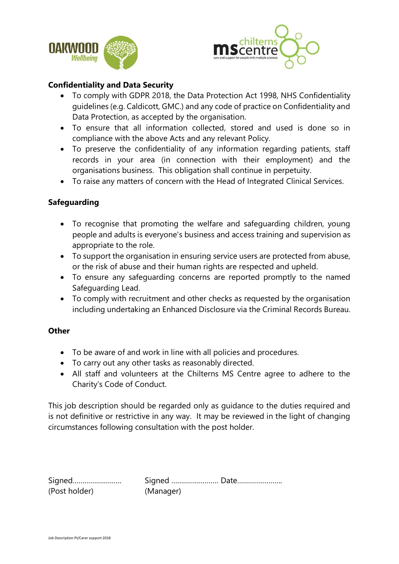



#### **Confidentiality and Data Security**

- To comply with GDPR 2018, the Data Protection Act 1998, NHS Confidentiality guidelines (e.g. Caldicott, GMC.) and any code of practice on Confidentiality and Data Protection, as accepted by the organisation.
- To ensure that all information collected, stored and used is done so in compliance with the above Acts and any relevant Policy.
- To preserve the confidentiality of any information regarding patients, staff records in your area (in connection with their employment) and the organisations business. This obligation shall continue in perpetuity.
- To raise any matters of concern with the Head of Integrated Clinical Services.

#### **Safeguarding**

- To recognise that promoting the welfare and safeguarding children, young people and adults is everyone's business and access training and supervision as appropriate to the role.
- To support the organisation in ensuring service users are protected from abuse, or the risk of abuse and their human rights are respected and upheld.
- To ensure any safeguarding concerns are reported promptly to the named Safeguarding Lead.
- To comply with recruitment and other checks as requested by the organisation including undertaking an Enhanced Disclosure via the Criminal Records Bureau.

#### **Other**

- To be aware of and work in line with all policies and procedures.
- To carry out any other tasks as reasonably directed.
- All staff and volunteers at the Chilterns MS Centre agree to adhere to the Charity's Code of Conduct.

This job description should be regarded only as guidance to the duties required and is not definitive or restrictive in any way. It may be reviewed in the light of changing circumstances following consultation with the post holder.

| Signed        |           |  |
|---------------|-----------|--|
| (Post holder) | (Manager) |  |